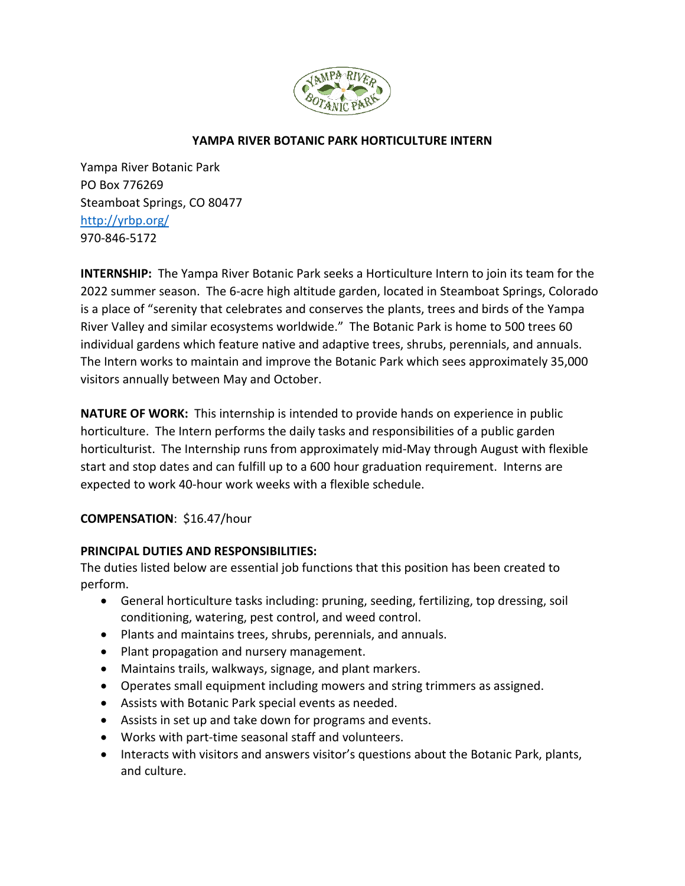

### **YAMPA RIVER BOTANIC PARK HORTICULTURE INTERN**

Yampa River Botanic Park PO Box 776269 Steamboat Springs, CO 80477 <http://yrbp.org/> 970-846-5172

**INTERNSHIP:** The Yampa River Botanic Park seeks a Horticulture Intern to join its team for the 2022 summer season. The 6-acre high altitude garden, located in Steamboat Springs, Colorado is a place of "serenity that celebrates and conserves the plants, trees and birds of the Yampa River Valley and similar ecosystems worldwide." The Botanic Park is home to 500 trees 60 individual gardens which feature native and adaptive trees, shrubs, perennials, and annuals. The Intern works to maintain and improve the Botanic Park which sees approximately 35,000 visitors annually between May and October.

**NATURE OF WORK:** This internship is intended to provide hands on experience in public horticulture. The Intern performs the daily tasks and responsibilities of a public garden horticulturist. The Internship runs from approximately mid-May through August with flexible start and stop dates and can fulfill up to a 600 hour graduation requirement. Interns are expected to work 40-hour work weeks with a flexible schedule.

### **COMPENSATION**: \$16.47/hour

### **PRINCIPAL DUTIES AND RESPONSIBILITIES:**

The duties listed below are essential job functions that this position has been created to perform.

- General horticulture tasks including: pruning, seeding, fertilizing, top dressing, soil conditioning, watering, pest control, and weed control.
- Plants and maintains trees, shrubs, perennials, and annuals.
- Plant propagation and nursery management.
- Maintains trails, walkways, signage, and plant markers.
- Operates small equipment including mowers and string trimmers as assigned.
- Assists with Botanic Park special events as needed.
- Assists in set up and take down for programs and events.
- Works with part-time seasonal staff and volunteers.
- Interacts with visitors and answers visitor's questions about the Botanic Park, plants, and culture.